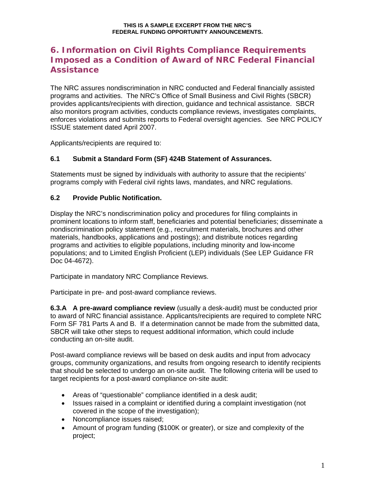# **6. Information on Civil Rights Compliance Requirements Imposed as a Condition of Award of NRC Federal Financial Assistance**

The NRC assures nondiscrimination in NRC conducted and Federal financially assisted programs and activities. The NRC's Office of Small Business and Civil Rights (SBCR) provides applicants/recipients with direction, guidance and technical assistance. SBCR also monitors program activities, conducts compliance reviews, investigates complaints, enforces violations and submits reports to Federal oversight agencies. See NRC POLICY ISSUE statement dated April 2007.

Applicants/recipients are required to:

#### **6.1 Submit a Standard Form (SF) 424B Statement of Assurances.**

Statements must be signed by individuals with authority to assure that the recipients' programs comply with Federal civil rights laws, mandates, and NRC regulations.

#### **6.2 Provide Public Notification.**

Display the NRC's nondiscrimination policy and procedures for filing complaints in prominent locations to inform staff, beneficiaries and potential beneficiaries; disseminate a nondiscrimination policy statement (e.g., recruitment materials, brochures and other materials, handbooks, applications and postings); and distribute notices regarding programs and activities to eligible populations, including minority and low-income populations; and to Limited English Proficient (LEP) individuals (See LEP Guidance FR Doc 04-4672).

Participate in mandatory NRC Compliance Reviews.

Participate in pre- and post-award compliance reviews.

**6.3.A A pre-award compliance review** (usually a desk-audit) must be conducted prior to award of NRC financial assistance. Applicants/recipients are required to complete NRC Form SF 781 Parts A and B. If a determination cannot be made from the submitted data, SBCR will take other steps to request additional information, which could include conducting an on-site audit.

Post-award compliance reviews will be based on desk audits and input from advocacy groups, community organizations, and results from ongoing research to identify recipients that should be selected to undergo an on-site audit. The following criteria will be used to target recipients for a post-award compliance on-site audit:

- Areas of "questionable" compliance identified in a desk audit;
- Issues raised in a complaint or identified during a complaint investigation (not covered in the scope of the investigation);
- Noncompliance issues raised;
- Amount of program funding (\$100K or greater), or size and complexity of the project;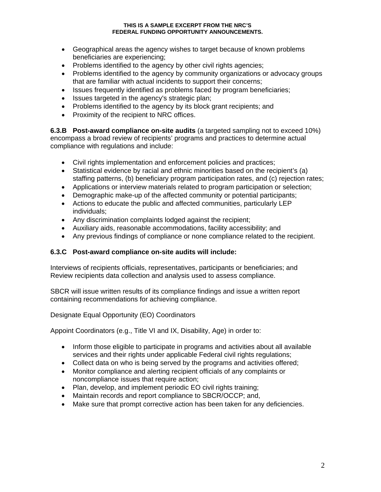#### **THIS IS A SAMPLE EXCERPT FROM THE NRC'S FEDERAL FUNDING OPPORTUNITY ANNOUNCEMENTS.**

- Geographical areas the agency wishes to target because of known problems beneficiaries are experiencing;
- Problems identified to the agency by other civil rights agencies;
- Problems identified to the agency by community organizations or advocacy groups that are familiar with actual incidents to support their concerns;
- Issues frequently identified as problems faced by program beneficiaries;
- Issues targeted in the agency's strategic plan;
- Problems identified to the agency by its block grant recipients; and
- Proximity of the recipient to NRC offices.

**6.3.B Post-award compliance on-site audits** (a targeted sampling not to exceed 10%) encompass a broad review of recipients' programs and practices to determine actual compliance with regulations and include:

- Civil rights implementation and enforcement policies and practices;
- Statistical evidence by racial and ethnic minorities based on the recipient's (a) staffing patterns, (b) beneficiary program participation rates, and (c) rejection rates;
- Applications or interview materials related to program participation or selection;
- Demographic make-up of the affected community or potential participants;
- Actions to educate the public and affected communities, particularly LEP individuals;
- Any discrimination complaints lodged against the recipient;
- Auxiliary aids, reasonable accommodations, facility accessibility; and
- Any previous findings of compliance or none compliance related to the recipient.

#### **6.3.C Post-award compliance on-site audits will include:**

Interviews of recipients officials, representatives, participants or beneficiaries; and Review recipients data collection and analysis used to assess compliance.

SBCR will issue written results of its compliance findings and issue a written report containing recommendations for achieving compliance.

#### Designate Equal Opportunity (EO) Coordinators

Appoint Coordinators (e.g., Title VI and IX, Disability, Age) in order to:

- Inform those eligible to participate in programs and activities about all available services and their rights under applicable Federal civil rights regulations;
- Collect data on who is being served by the programs and activities offered;
- Monitor compliance and alerting recipient officials of any complaints or noncompliance issues that require action;
- Plan, develop, and implement periodic EO civil rights training;
- Maintain records and report compliance to SBCR/OCCP; and,
- Make sure that prompt corrective action has been taken for any deficiencies.